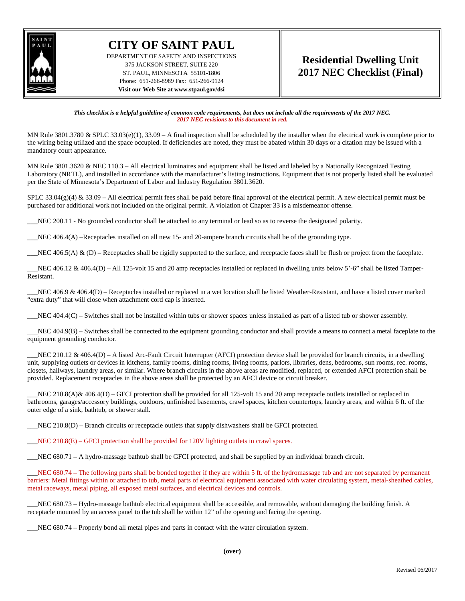

## **CITY OF SAINT PAUL**

DEPARTMENT OF SAFETY AND INSPECTIONS 375 JACKSON STREET, SUITE 220 ST. PAUL, MINNESOTA 55101-1806 Phone: 651-266-8989 Fax: 651-266-9124 **Visit our Web Site at www.stpaul.gov/dsi**

## **Residential Dwelling Unit 2017 NEC Checklist (Final)**

*This checklist is a helpful guideline of common code requirements, but does not include all the requirements of the 2017 NEC. 2017 NEC revisions to this document in red.*

MN Rule 3801.3780 & SPLC 33.03(e)(1), 33.09 – A final inspection shall be scheduled by the installer when the electrical work is complete prior to the wiring being utilized and the space occupied. If deficiencies are noted, they must be abated within 30 days or a citation may be issued with a mandatory court appearance.

MN Rule 3801.3620 & NEC 110.3 – All electrical luminaires and equipment shall be listed and labeled by a Nationally Recognized Testing Laboratory (NRTL), and installed in accordance with the manufacturer's listing instructions. Equipment that is not properly listed shall be evaluated per the State of Minnesota's Department of Labor and Industry Regulation 3801.3620.

SPLC  $33.04(g)(4)$  &  $33.09 - All electrical permit fees shall be paid before final approval of the electrical permit. A new electrical permit must be$ purchased for additional work not included on the original permit. A violation of Chapter 33 is a misdemeanor offense.

\_\_\_NEC 200.11 - No grounded conductor shall be attached to any terminal or lead so as to reverse the designated polarity.

\_\_\_NEC 406.4(A) –Receptacles installed on all new 15- and 20-ampere branch circuits shall be of the grounding type.

NEC 406.5(A)  $\&$  (D) – Receptacles shall be rigidly supported to the surface, and receptacle faces shall be flush or project from the faceplate.

 $NEC$  406.12 & 406.4(D) – All 125-volt 15 and 20 amp receptacles installed or replaced in dwelling units below 5'-6" shall be listed Tamper-Resistant.

NEC 406.9 & 406.4(D) – Receptacles installed or replaced in a wet location shall be listed Weather-Resistant, and have a listed cover marked "extra duty" that will close when attachment cord cap is inserted.

\_\_\_NEC 404.4(C) – Switches shall not be installed within tubs or shower spaces unless installed as part of a listed tub or shower assembly.

NEC 404.9(B) – Switches shall be connected to the equipment grounding conductor and shall provide a means to connect a metal faceplate to the equipment grounding conductor.

NEC 210.12  $\&$  406.4(D) – A listed Arc-Fault Circuit Interrupter (AFCI) protection device shall be provided for branch circuits, in a dwelling unit, supplying outlets or devices in kitchens, family rooms, dining rooms, living rooms, parlors, libraries, dens, bedrooms, sun rooms, rec. rooms, closets, hallways, laundry areas, or similar. Where branch circuits in the above areas are modified, replaced, or extended AFCI protection shall be provided. Replacement receptacles in the above areas shall be protected by an AFCI device or circuit breaker.

NEC 210.8(A)&  $406.4(D)$  – GFCI protection shall be provided for all 125-volt 15 and 20 amp receptacle outlets installed or replaced in bathrooms, garages/accessory buildings, outdoors, unfinished basements, crawl spaces, kitchen countertops, laundry areas, and within 6 ft. of the outer edge of a sink, bathtub, or shower stall.

\_\_\_NEC 210.8(D) – Branch circuits or receptacle outlets that supply dishwashers shall be GFCI protected.

\_\_\_NEC 210.8(E) – GFCI protection shall be provided for 120V lighting outlets in crawl spaces.

\_\_\_NEC 680.71 – A hydro-massage bathtub shall be GFCI protected, and shall be supplied by an individual branch circuit.

NEC 680.74 – The following parts shall be bonded together if they are within 5 ft. of the hydromassage tub and are not separated by permanent barriers: Metal fittings within or attached to tub, metal parts of electrical equipment associated with water circulating system, metal-sheathed cables, metal raceways, metal piping, all exposed metal surfaces, and electrical devices and controls.

\_\_\_NEC 680.73 – Hydro-massage bathtub electrical equipment shall be accessible, and removable, without damaging the building finish. A receptacle mounted by an access panel to the tub shall be within 12" of the opening and facing the opening.

\_\_\_NEC 680.74 – Properly bond all metal pipes and parts in contact with the water circulation system.